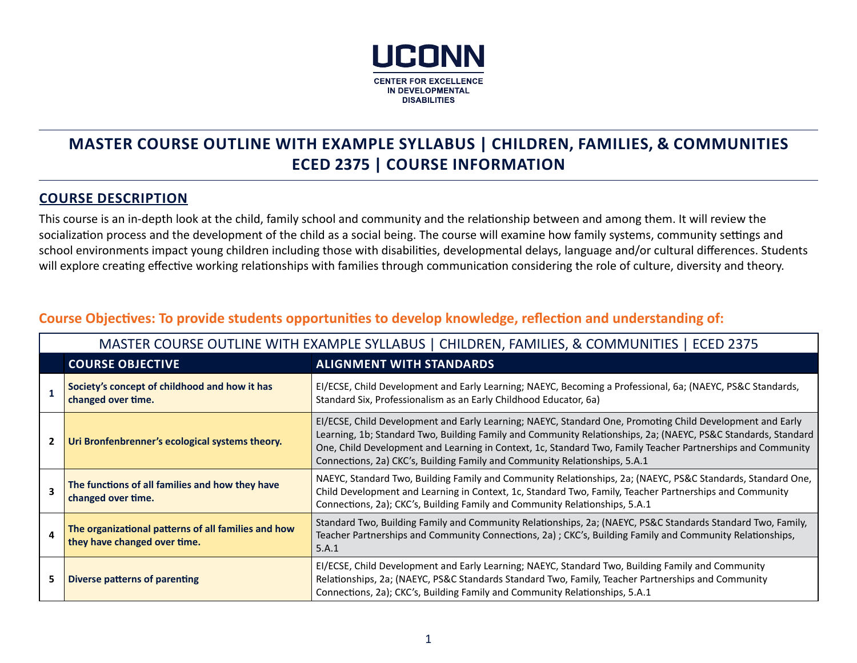

# **MASTER COURSE OUTLINE WITH EXAMPLE SYLLABUS | CHILDREN, FAMILIES, & COMMUNITIES ECED 2375 | COURSE INFORMATION**

#### **COURSE DESCRIPTION**

This course is an in-depth look at the child, family school and community and the relationship between and among them. It will review the socialization process and the development of the child as a social being. The course will examine how family systems, community settings and school environments impact young children including those with disabilities, developmental delays, language and/or cultural differences. Students will explore creating effective working relationships with families through communication considering the role of culture, diversity and theory.

|                | MASTER COURSE OUTLINE WITH EXAMPLE SYLLABUS   CHILDREN, FAMILIES, & COMMUNITIES   ECED 2375 |                                                                                                                                                                                                                                                                                                                                                                                                                         |  |  |
|----------------|---------------------------------------------------------------------------------------------|-------------------------------------------------------------------------------------------------------------------------------------------------------------------------------------------------------------------------------------------------------------------------------------------------------------------------------------------------------------------------------------------------------------------------|--|--|
|                | <b>COURSE OBJECTIVE</b>                                                                     | <b>ALIGNMENT WITH STANDARDS</b>                                                                                                                                                                                                                                                                                                                                                                                         |  |  |
|                | Society's concept of childhood and how it has<br>changed over time.                         | EI/ECSE, Child Development and Early Learning; NAEYC, Becoming a Professional, 6a; (NAEYC, PS&C Standards,<br>Standard Six, Professionalism as an Early Childhood Educator, 6a)                                                                                                                                                                                                                                         |  |  |
| $\overline{2}$ | Uri Bronfenbrenner's ecological systems theory.                                             | EI/ECSE, Child Development and Early Learning; NAEYC, Standard One, Promoting Child Development and Early<br>Learning, 1b; Standard Two, Building Family and Community Relationships, 2a; (NAEYC, PS&C Standards, Standard<br>One, Child Development and Learning in Context, 1c, Standard Two, Family Teacher Partnerships and Community<br>Connections, 2a) CKC's, Building Family and Community Relationships, 5.A.1 |  |  |
| 3              | The functions of all families and how they have<br>changed over time.                       | NAEYC, Standard Two, Building Family and Community Relationships, 2a; (NAEYC, PS&C Standards, Standard One,<br>Child Development and Learning in Context, 1c, Standard Two, Family, Teacher Partnerships and Community<br>Connections, 2a); CKC's, Building Family and Community Relationships, 5.A.1                                                                                                                   |  |  |
| 4              | The organizational patterns of all families and how<br>they have changed over time.         | Standard Two, Building Family and Community Relationships, 2a; (NAEYC, PS&C Standards Standard Two, Family,<br>Teacher Partnerships and Community Connections, 2a); CKC's, Building Family and Community Relationships,<br>5.A.1                                                                                                                                                                                        |  |  |
| 5.             | Diverse patterns of parenting                                                               | EI/ECSE, Child Development and Early Learning; NAEYC, Standard Two, Building Family and Community<br>Relationships, 2a; (NAEYC, PS&C Standards Standard Two, Family, Teacher Partnerships and Community<br>Connections, 2a); CKC's, Building Family and Community Relationships, 5.A.1                                                                                                                                  |  |  |

## **Course Objectives: To provide students opportunities to develop knowledge, reflection and understanding of:**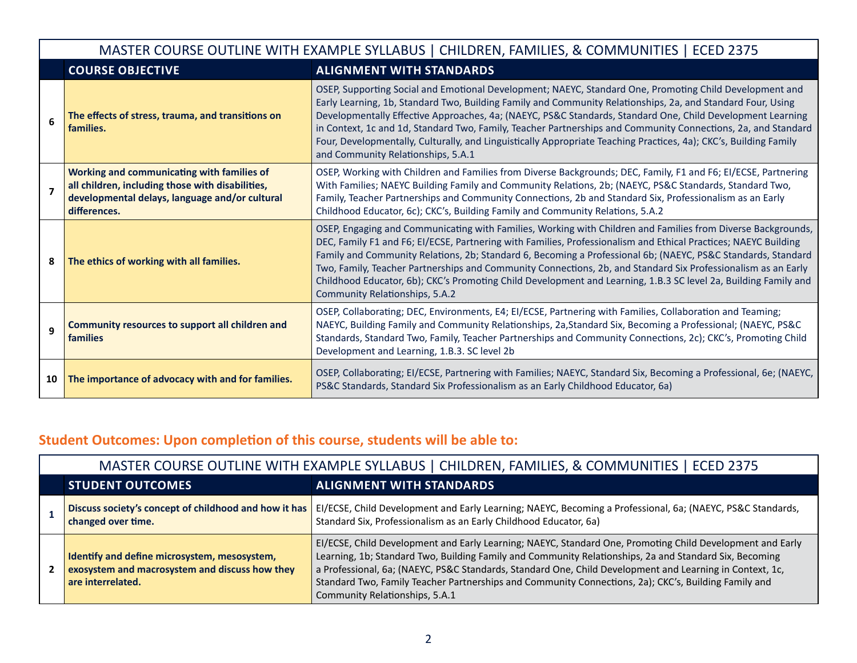|    | MASTER COURSE OUTLINE WITH EXAMPLE SYLLABUS   CHILDREN, FAMILIES, & COMMUNITIES   ECED 2375                                                                      |                                                                                                                                                                                                                                                                                                                                                                                                                                                                                                                                                                                                                       |  |  |
|----|------------------------------------------------------------------------------------------------------------------------------------------------------------------|-----------------------------------------------------------------------------------------------------------------------------------------------------------------------------------------------------------------------------------------------------------------------------------------------------------------------------------------------------------------------------------------------------------------------------------------------------------------------------------------------------------------------------------------------------------------------------------------------------------------------|--|--|
|    | <b>COURSE OBJECTIVE</b>                                                                                                                                          | <b>ALIGNMENT WITH STANDARDS</b>                                                                                                                                                                                                                                                                                                                                                                                                                                                                                                                                                                                       |  |  |
| 6  | The effects of stress, trauma, and transitions on<br>families.                                                                                                   | OSEP, Supporting Social and Emotional Development; NAEYC, Standard One, Promoting Child Development and<br>Early Learning, 1b, Standard Two, Building Family and Community Relationships, 2a, and Standard Four, Using<br>Developmentally Effective Approaches, 4a; (NAEYC, PS&C Standards, Standard One, Child Development Learning<br>in Context, 1c and 1d, Standard Two, Family, Teacher Partnerships and Community Connections, 2a, and Standard<br>Four, Developmentally, Culturally, and Linguistically Appropriate Teaching Practices, 4a); CKC's, Building Family<br>and Community Relationships, 5.A.1      |  |  |
| 7  | Working and communicating with families of<br>all children, including those with disabilities,<br>developmental delays, language and/or cultural<br>differences. | OSEP, Working with Children and Families from Diverse Backgrounds; DEC, Family, F1 and F6; EI/ECSE, Partnering<br>With Families; NAEYC Building Family and Community Relations, 2b; (NAEYC, PS&C Standards, Standard Two,<br>Family, Teacher Partnerships and Community Connections, 2b and Standard Six, Professionalism as an Early<br>Childhood Educator, 6c); CKC's, Building Family and Community Relations, 5.A.2                                                                                                                                                                                               |  |  |
| 8  | The ethics of working with all families.                                                                                                                         | OSEP, Engaging and Communicating with Families, Working with Children and Families from Diverse Backgrounds,<br>DEC, Family F1 and F6; EI/ECSE, Partnering with Families, Professionalism and Ethical Practices; NAEYC Building<br>Family and Community Relations, 2b; Standard 6, Becoming a Professional 6b; (NAEYC, PS&C Standards, Standard<br>Two, Family, Teacher Partnerships and Community Connections, 2b, and Standard Six Professionalism as an Early<br>Childhood Educator, 6b); CKC's Promoting Child Development and Learning, 1.B.3 SC level 2a, Building Family and<br>Community Relationships, 5.A.2 |  |  |
| 9  | Community resources to support all children and<br><b>families</b>                                                                                               | OSEP, Collaborating; DEC, Environments, E4; EI/ECSE, Partnering with Families, Collaboration and Teaming;<br>NAEYC, Building Family and Community Relationships, 2a, Standard Six, Becoming a Professional; (NAEYC, PS&C<br>Standards, Standard Two, Family, Teacher Partnerships and Community Connections, 2c); CKC's, Promoting Child<br>Development and Learning, 1.B.3. SC level 2b                                                                                                                                                                                                                              |  |  |
| 10 | The importance of advocacy with and for families.                                                                                                                | OSEP, Collaborating; EI/ECSE, Partnering with Families; NAEYC, Standard Six, Becoming a Professional, 6e; (NAEYC,<br>PS&C Standards, Standard Six Professionalism as an Early Childhood Educator, 6a)                                                                                                                                                                                                                                                                                                                                                                                                                 |  |  |

# **Student Outcomes: Upon completion of this course, students will be able to:**

## MASTER COURSE OUTLINE WITH EXAMPLE SYLLABUS | CHILDREN, FAMILIES, & COMMUNITIES | ECED 2375

| <b>STUDENT OUTCOMES</b>                                                                                             | <b>ALIGNMENT WITH STANDARDS</b>                                                                                                                                                                                                                                                                                                                                                                                                                                           |
|---------------------------------------------------------------------------------------------------------------------|---------------------------------------------------------------------------------------------------------------------------------------------------------------------------------------------------------------------------------------------------------------------------------------------------------------------------------------------------------------------------------------------------------------------------------------------------------------------------|
| Discuss society's concept of childhood and how it has<br>changed over time.                                         | EI/ECSE, Child Development and Early Learning; NAEYC, Becoming a Professional, 6a; (NAEYC, PS&C Standards,<br>Standard Six, Professionalism as an Early Childhood Educator, 6a)                                                                                                                                                                                                                                                                                           |
| Identify and define microsystem, mesosystem,<br>exosystem and macrosystem and discuss how they<br>are interrelated. | EI/ECSE, Child Development and Early Learning; NAEYC, Standard One, Promoting Child Development and Early<br>Learning, 1b; Standard Two, Building Family and Community Relationships, 2a and Standard Six, Becoming<br>a Professional, 6a; (NAEYC, PS&C Standards, Standard One, Child Development and Learning in Context, 1c,<br>Standard Two, Family Teacher Partnerships and Community Connections, 2a); CKC's, Building Family and<br>Community Relationships, 5.A.1 |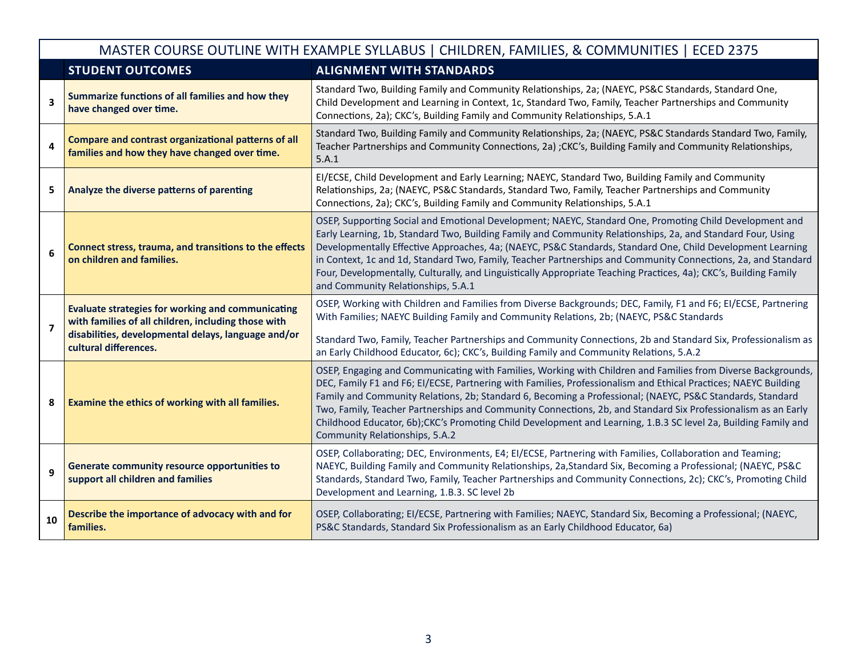|    | <b>STUDENT OUTCOMES</b>                                                                                                                                                                         | <b>MODER COORDE OUTERS WITH EXAMPLE STEERDOS</b>   CHIEDREN, MAMERES, & COMMONITIES   ECLD 2373<br><b>ALIGNMENT WITH STANDARDS</b>                                                                                                                                                                                                                                                                                                                                                                                                                                                                                |  |
|----|-------------------------------------------------------------------------------------------------------------------------------------------------------------------------------------------------|-------------------------------------------------------------------------------------------------------------------------------------------------------------------------------------------------------------------------------------------------------------------------------------------------------------------------------------------------------------------------------------------------------------------------------------------------------------------------------------------------------------------------------------------------------------------------------------------------------------------|--|
| 3  | Summarize functions of all families and how they<br>have changed over time.                                                                                                                     | Standard Two, Building Family and Community Relationships, 2a; (NAEYC, PS&C Standards, Standard One,<br>Child Development and Learning in Context, 1c, Standard Two, Family, Teacher Partnerships and Community<br>Connections, 2a); CKC's, Building Family and Community Relationships, 5.A.1                                                                                                                                                                                                                                                                                                                    |  |
| 4  | <b>Compare and contrast organizational patterns of all</b><br>families and how they have changed over time.                                                                                     | Standard Two, Building Family and Community Relationships, 2a; (NAEYC, PS&C Standards Standard Two, Family,<br>Teacher Partnerships and Community Connections, 2a); CKC's, Building Family and Community Relationships,<br>5.A.1                                                                                                                                                                                                                                                                                                                                                                                  |  |
| 5  | Analyze the diverse patterns of parenting                                                                                                                                                       | EI/ECSE, Child Development and Early Learning; NAEYC, Standard Two, Building Family and Community<br>Relationships, 2a; (NAEYC, PS&C Standards, Standard Two, Family, Teacher Partnerships and Community<br>Connections, 2a); CKC's, Building Family and Community Relationships, 5.A.1                                                                                                                                                                                                                                                                                                                           |  |
| 6  | Connect stress, trauma, and transitions to the effects<br>on children and families.                                                                                                             | OSEP, Supporting Social and Emotional Development; NAEYC, Standard One, Promoting Child Development and<br>Early Learning, 1b, Standard Two, Building Family and Community Relationships, 2a, and Standard Four, Using<br>Developmentally Effective Approaches, 4a; (NAEYC, PS&C Standards, Standard One, Child Development Learning<br>in Context, 1c and 1d, Standard Two, Family, Teacher Partnerships and Community Connections, 2a, and Standard<br>Four, Developmentally, Culturally, and Linguistically Appropriate Teaching Practices, 4a); CKC's, Building Family<br>and Community Relationships, 5.A.1  |  |
| 7  | <b>Evaluate strategies for working and communicating</b><br>with families of all children, including those with<br>disabilities, developmental delays, language and/or<br>cultural differences. | OSEP, Working with Children and Families from Diverse Backgrounds; DEC, Family, F1 and F6; El/ECSE, Partnering<br>With Families; NAEYC Building Family and Community Relations, 2b; (NAEYC, PS&C Standards<br>Standard Two, Family, Teacher Partnerships and Community Connections, 2b and Standard Six, Professionalism as<br>an Early Childhood Educator, 6c); CKC's, Building Family and Community Relations, 5.A.2                                                                                                                                                                                            |  |
| 8  | Examine the ethics of working with all families.                                                                                                                                                | OSEP, Engaging and Communicating with Families, Working with Children and Families from Diverse Backgrounds,<br>DEC, Family F1 and F6; EI/ECSE, Partnering with Families, Professionalism and Ethical Practices; NAEYC Building<br>Family and Community Relations, 2b; Standard 6, Becoming a Professional; (NAEYC, PS&C Standards, Standard<br>Two, Family, Teacher Partnerships and Community Connections, 2b, and Standard Six Professionalism as an Early<br>Childhood Educator, 6b);CKC's Promoting Child Development and Learning, 1.B.3 SC level 2a, Building Family and<br>Community Relationships, 5.A.2 |  |
| 9  | Generate community resource opportunities to<br>support all children and families                                                                                                               | OSEP, Collaborating; DEC, Environments, E4; EI/ECSE, Partnering with Families, Collaboration and Teaming;<br>NAEYC, Building Family and Community Relationships, 2a, Standard Six, Becoming a Professional; (NAEYC, PS&C<br>Standards, Standard Two, Family, Teacher Partnerships and Community Connections, 2c); CKC's, Promoting Child<br>Development and Learning, 1.B.3. SC level 2b                                                                                                                                                                                                                          |  |
| 10 | Describe the importance of advocacy with and for<br>families.                                                                                                                                   | OSEP, Collaborating; EI/ECSE, Partnering with Families; NAEYC, Standard Six, Becoming a Professional; (NAEYC,<br>PS&C Standards, Standard Six Professionalism as an Early Childhood Educator, 6a)                                                                                                                                                                                                                                                                                                                                                                                                                 |  |

## MASTER COURSE OUTLINE WITH EXAMPLE SYLLABUS | CHILDREN, FAMILIES, & COMMUNITIES | ECED 2375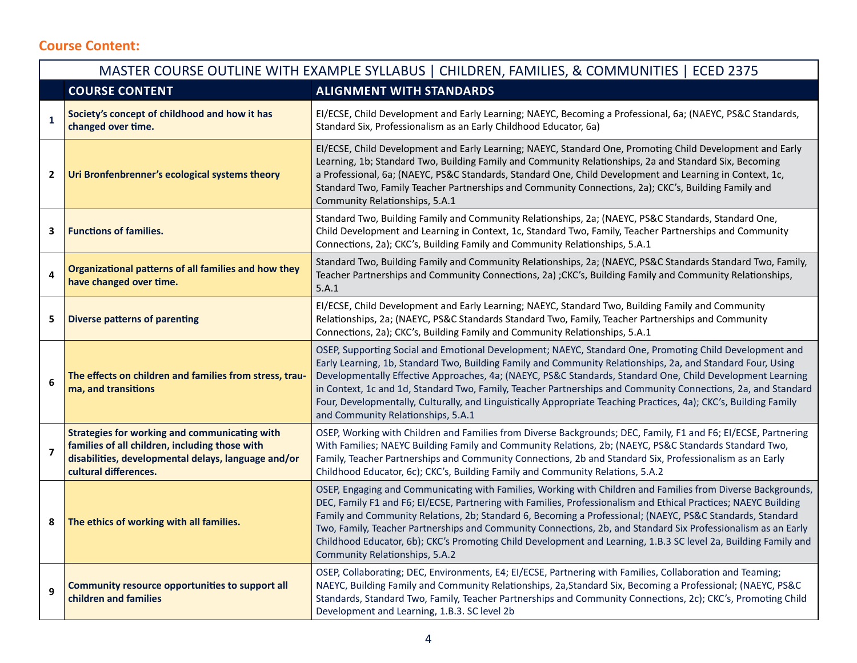## **Course Content:**

|                         | MASTER COURSE OUTLINE WITH EXAMPLE SYLLABUS   CHILDREN, FAMILIES, & COMMUNITIES   ECED 2375                                                                                     |                                                                                                                                                                                                                                                                                                                                                                                                                                                                                                                                                                                                                    |  |  |
|-------------------------|---------------------------------------------------------------------------------------------------------------------------------------------------------------------------------|--------------------------------------------------------------------------------------------------------------------------------------------------------------------------------------------------------------------------------------------------------------------------------------------------------------------------------------------------------------------------------------------------------------------------------------------------------------------------------------------------------------------------------------------------------------------------------------------------------------------|--|--|
|                         | <b>COURSE CONTENT</b>                                                                                                                                                           | <b>ALIGNMENT WITH STANDARDS</b>                                                                                                                                                                                                                                                                                                                                                                                                                                                                                                                                                                                    |  |  |
| $\mathbf{1}$            | Society's concept of childhood and how it has<br>changed over time.                                                                                                             | EI/ECSE, Child Development and Early Learning; NAEYC, Becoming a Professional, 6a; (NAEYC, PS&C Standards,<br>Standard Six, Professionalism as an Early Childhood Educator, 6a)                                                                                                                                                                                                                                                                                                                                                                                                                                    |  |  |
| $\mathbf{2}$            | Uri Bronfenbrenner's ecological systems theory                                                                                                                                  | EI/ECSE, Child Development and Early Learning; NAEYC, Standard One, Promoting Child Development and Early<br>Learning, 1b; Standard Two, Building Family and Community Relationships, 2a and Standard Six, Becoming<br>a Professional, 6a; (NAEYC, PS&C Standards, Standard One, Child Development and Learning in Context, 1c,<br>Standard Two, Family Teacher Partnerships and Community Connections, 2a); CKC's, Building Family and<br>Community Relationships, 5.A.1                                                                                                                                          |  |  |
| 3                       | <b>Functions of families.</b>                                                                                                                                                   | Standard Two, Building Family and Community Relationships, 2a; (NAEYC, PS&C Standards, Standard One,<br>Child Development and Learning in Context, 1c, Standard Two, Family, Teacher Partnerships and Community<br>Connections, 2a); CKC's, Building Family and Community Relationships, 5.A.1                                                                                                                                                                                                                                                                                                                     |  |  |
| 4                       | Organizational patterns of all families and how they<br>have changed over time.                                                                                                 | Standard Two, Building Family and Community Relationships, 2a; (NAEYC, PS&C Standards Standard Two, Family,<br>Teacher Partnerships and Community Connections, 2a); CKC's, Building Family and Community Relationships,<br>5.A.1                                                                                                                                                                                                                                                                                                                                                                                   |  |  |
| 5                       | <b>Diverse patterns of parenting</b>                                                                                                                                            | EI/ECSE, Child Development and Early Learning; NAEYC, Standard Two, Building Family and Community<br>Relationships, 2a; (NAEYC, PS&C Standards Standard Two, Family, Teacher Partnerships and Community<br>Connections, 2a); CKC's, Building Family and Community Relationships, 5.A.1                                                                                                                                                                                                                                                                                                                             |  |  |
| 6                       | The effects on children and families from stress, trau-<br>ma, and transitions                                                                                                  | OSEP, Supporting Social and Emotional Development; NAEYC, Standard One, Promoting Child Development and<br>Early Learning, 1b, Standard Two, Building Family and Community Relationships, 2a, and Standard Four, Using<br>Developmentally Effective Approaches, 4a; (NAEYC, PS&C Standards, Standard One, Child Development Learning<br>in Context, 1c and 1d, Standard Two, Family, Teacher Partnerships and Community Connections, 2a, and Standard<br>Four, Developmentally, Culturally, and Linguistically Appropriate Teaching Practices, 4a); CKC's, Building Family<br>and Community Relationships, 5.A.1   |  |  |
| $\overline{\mathbf{z}}$ | Strategies for working and communicating with<br>families of all children, including those with<br>disabilities, developmental delays, language and/or<br>cultural differences. | OSEP, Working with Children and Families from Diverse Backgrounds; DEC, Family, F1 and F6; EI/ECSE, Partnering<br>With Families; NAEYC Building Family and Community Relations, 2b; (NAEYC, PS&C Standards Standard Two,<br>Family, Teacher Partnerships and Community Connections, 2b and Standard Six, Professionalism as an Early<br>Childhood Educator, 6c); CKC's, Building Family and Community Relations, 5.A.2                                                                                                                                                                                             |  |  |
| 8                       | The ethics of working with all families.                                                                                                                                        | OSEP, Engaging and Communicating with Families, Working with Children and Families from Diverse Backgrounds,<br>DEC, Family F1 and F6; El/ECSE, Partnering with Families, Professionalism and Ethical Practices; NAEYC Building<br>Family and Community Relations, 2b; Standard 6, Becoming a Professional; (NAEYC, PS&C Standards, Standard<br>Two, Family, Teacher Partnerships and Community Connections, 2b, and Standard Six Professionalism as an Early<br>Childhood Educator, 6b); CKC's Promoting Child Development and Learning, 1.B.3 SC level 2a, Building Family and<br>Community Relationships, 5.A.2 |  |  |
| 9                       | Community resource opportunities to support all<br>children and families                                                                                                        | OSEP, Collaborating; DEC, Environments, E4; EI/ECSE, Partnering with Families, Collaboration and Teaming;<br>NAEYC, Building Family and Community Relationships, 2a, Standard Six, Becoming a Professional; (NAEYC, PS&C<br>Standards, Standard Two, Family, Teacher Partnerships and Community Connections, 2c); CKC's, Promoting Child<br>Development and Learning, 1.B.3. SC level 2b                                                                                                                                                                                                                           |  |  |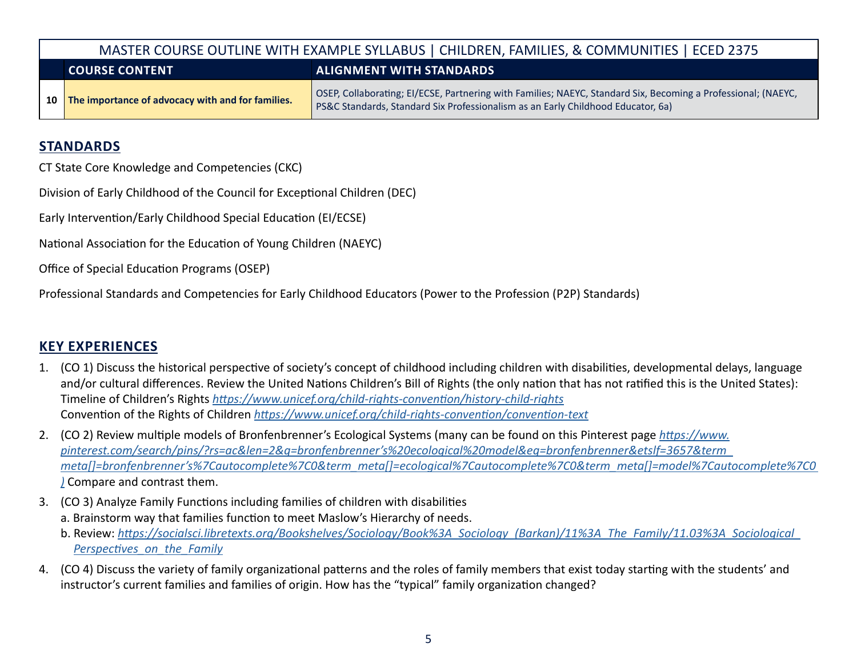|                                                          | MASTER COURSE OUTLINE WITH EXAMPLE SYLLABUS   CHILDREN, FAMILIES, & COMMUNITIES   ECED 2375 |                                                                                                                                                                                                   |  |
|----------------------------------------------------------|---------------------------------------------------------------------------------------------|---------------------------------------------------------------------------------------------------------------------------------------------------------------------------------------------------|--|
| <b>ALIGNMENT WITH STANDARDS</b><br><b>COURSE CONTENT</b> |                                                                                             |                                                                                                                                                                                                   |  |
|                                                          | 10 The importance of advocacy with and for families.                                        | OSEP, Collaborating; EI/ECSE, Partnering with Families; NAEYC, Standard Six, Becoming a Professional; (NAEYC,<br>PS&C Standards, Standard Six Professionalism as an Early Childhood Educator, 6a) |  |

#### **STANDARDS**

CT State Core Knowledge and Competencies (CKC)

Division of Early Childhood of the Council for Exceptional Children (DEC)

Early Intervention/Early Childhood Special Education (EI/ECSE)

National Association for the Education of Young Children (NAEYC)

Office of Special Education Programs (OSEP)

Professional Standards and Competencies for Early Childhood Educators (Power to the Profession (P2P) Standards)

## **KEY EXPERIENCES**

- 1. (CO 1) Discuss the historical perspective of society's concept of childhood including children with disabilities, developmental delays, language and/or cultural differences. Review the United Nations Children's Bill of Rights (the only nation that has not ratified this is the United States): Timeline of Children's Rights *<https://www.unicef.org/child-rights-convention/history-child-rights>* Convention of the Rights of Children *<https://www.unicef.org/child-rights-convention/convention-text>*
- 2. (CO 2) Review multiple models of Bronfenbrenner's Ecological Systems (many can be found on this Pinterest page *[https://www.](https://www.pinterest.com/search/pins/?rs=ac&len=2&q=bronfenbrenner%25E2%2580%2599s%2520ecological%2520model&eq=bronfenbrenner&etslf=3657&term_meta%255B%255D=bronfenbrenner%25E2%2580%2599s%257Cautocomplete%257C0&term_meta%255B%255D=ecological%257Cautocomplete%257C0&term_meta%255B%255D=model%257Cautocomplete%257C0) [pinterest.com/search/pins/?rs=ac&len=2&q=bronfenbrenner's%20ecological%20model&eq=bronfenbrenner&etslf=3657&term\\_](https://www.pinterest.com/search/pins/?rs=ac&len=2&q=bronfenbrenner%25E2%2580%2599s%2520ecological%2520model&eq=bronfenbrenner&etslf=3657&term_meta%255B%255D=bronfenbrenner%25E2%2580%2599s%257Cautocomplete%257C0&term_meta%255B%255D=ecological%257Cautocomplete%257C0&term_meta%255B%255D=model%257Cautocomplete%257C0) [meta\[\]=bronfenbrenner's%7Cautocomplete%7C0&term\\_meta\[\]=ecological%7Cautocomplete%7C0&term\\_meta\[\]=model%7Cautocomplete%7C0](https://www.pinterest.com/search/pins/?rs=ac&len=2&q=bronfenbrenner%25E2%2580%2599s%2520ecological%2520model&eq=bronfenbrenner&etslf=3657&term_meta%255B%255D=bronfenbrenner%25E2%2580%2599s%257Cautocomplete%257C0&term_meta%255B%255D=ecological%257Cautocomplete%257C0&term_meta%255B%255D=model%257Cautocomplete%257C0)  [\)](https://www.pinterest.com/search/pins/?rs=ac&len=2&q=bronfenbrenner%25E2%2580%2599s%2520ecological%2520model&eq=bronfenbrenner&etslf=3657&term_meta%255B%255D=bronfenbrenner%25E2%2580%2599s%257Cautocomplete%257C0&term_meta%255B%255D=ecological%257Cautocomplete%257C0&term_meta%255B%255D=model%257Cautocomplete%257C0)* Compare and contrast them.
- 3. (CO 3) Analyze Family Functions including families of children with disabilities a. Brainstorm way that families function to meet Maslow's Hierarchy of needs.
	- b. Review: *[https://socialsci.libretexts.org/Bookshelves/Sociology/Book%3A\\_Sociology\\_\(Barkan\)/11%3A\\_The\\_Family/11.03%3A\\_Sociological\\_](https://socialsci.libretexts.org/Bookshelves/Sociology/Introduction_to_Sociology/Book%3A_Sociology_(Barkan)/11%3A_The_Family/11.03%3A_Sociological_Perspectives_on_the_Family) [Perspectives\\_on\\_the\\_Family](https://socialsci.libretexts.org/Bookshelves/Sociology/Introduction_to_Sociology/Book%3A_Sociology_(Barkan)/11%3A_The_Family/11.03%3A_Sociological_Perspectives_on_the_Family)*
- 4. (CO 4) Discuss the variety of family organizational patterns and the roles of family members that exist today starting with the students' and instructor's current families and families of origin. How has the "typical" family organization changed?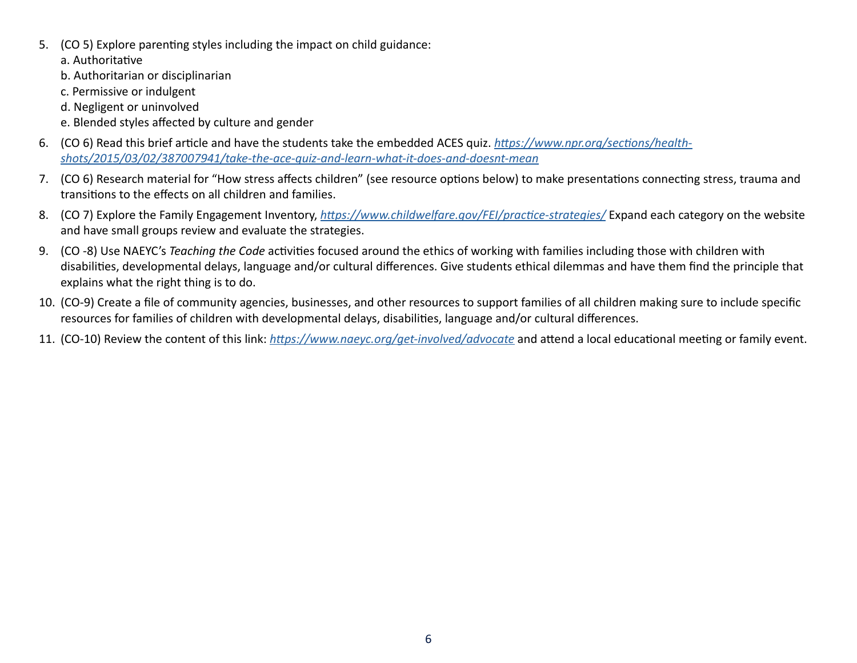5. (CO 5) Explore parenting styles including the impact on child guidance:

a. Authoritative

- b. Authoritarian or disciplinarian
- c. Permissive or indulgent
- d. Negligent or uninvolved
- e. Blended styles affected by culture and gender
- 6. (CO 6) Read this brief article and have the students take the embedded ACES quiz. *[https://www.npr.org/sections/health](https://www.npr.org/sections/health-shots/2015/03/02/387007941/take-the-ace-quiz-and-learn-what-it-does-and-doesnt-mean)[shots/2015/03/02/387007941/take-the-ace-quiz-and-learn-what-it-does-and-doesnt-mean](https://www.npr.org/sections/health-shots/2015/03/02/387007941/take-the-ace-quiz-and-learn-what-it-does-and-doesnt-mean)*
- 7. (CO 6) Research material for "How stress affects children" (see resource options below) to make presentations connecting stress, trauma and transitions to the effects on all children and families.
- 8. (CO 7) Explore the Family Engagement Inventory, *<https://www.childwelfare.gov/FEI/practice-strategies/>* Expand each category on the website and have small groups review and evaluate the strategies.
- 9. (CO -8) Use NAEYC's *Teaching the Code* activities focused around the ethics of working with families including those with children with disabilities, developmental delays, language and/or cultural differences. Give students ethical dilemmas and have them find the principle that explains what the right thing is to do.
- 10. (CO-9) Create a file of community agencies, businesses, and other resources to support families of all children making sure to include specific resources for families of children with developmental delays, disabilities, language and/or cultural differences.
- 11. (CO-10) Review the content of this link: *<https://www.naeyc.org/get-involved/advocate>* and attend a local educational meeting or family event.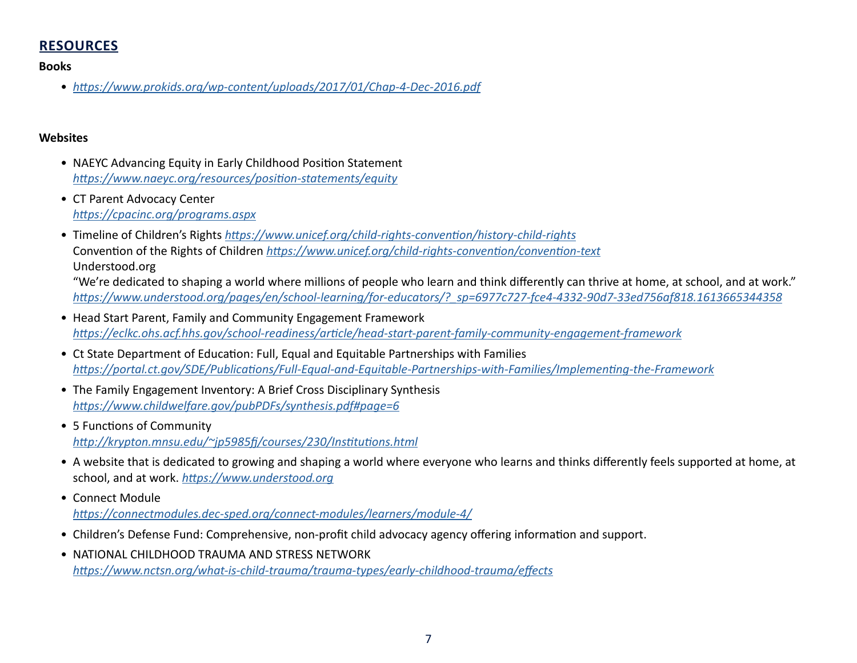## **RESOURCES**

**Books**

• *<https://www.prokids.org/wp-content/uploads/2017/01/Chap-4-Dec-2016.pdf>*

#### **Websites**

- NAEYC Advancing Equity in Early Childhood Position Statement *<https://www.naeyc.org/resources/position-statements/equity>*
- CT Parent Advocacy Center *<https://cpacinc.org/programs.aspx>*
- Timeline of Children's Rights *<https://www.unicef.org/child-rights-convention/history-child-rights>* Convention of the Rights of Children *<https://www.unicef.org/child-rights-convention/convention-text>* Understood.org

"We're dedicated to shaping a world where millions of people who learn and think differently can thrive at home, at school, and at work." *[https://www.understood.org/pages/en/school-learning/for-educators/?\\_sp=6977c727-fce4-4332-90d7-33ed756af818.1613665344358](https://www.understood.org/en?_sp=6977c727-fce4-4332-90d7-33ed756af818.1613665344358)*

- Head Start Parent, Family and Community Engagement Framework *<https://eclkc.ohs.acf.hhs.gov/school-readiness/article/head-start-parent-family-community-engagement-framework>*
- Ct State Department of Education: Full, Equal and Equitable Partnerships with Families *<https://portal.ct.gov/SDE/Publications/Full-Equal-and-Equitable-Partnerships-with-Families/Implementing-the-Framework>*
- The Family Engagement Inventory: A Brief Cross Disciplinary Synthesis *<https://www.childwelfare.gov/pubPDFs/synthesis.pdf#page=6>*
- 5 Functions of Community *[http://krypton.mnsu.edu/~jp5985fj/courses/230/Institutions.html](http://krypton.mnsu.edu/%7Ejp5985fj/courses/230/Institutions.html)*
- A website that is dedicated to growing and shaping a world where everyone who learns and thinks differently feels supported at home, at school, and at work. *<https://www.understood.org>*
- Connect Module *<https://connectmodules.dec-sped.org/connect-modules/learners/module-4/>*
- Children's Defense Fund: Comprehensive, non-profit child advocacy agency offering information and support.
- NATIONAL CHILDHOOD TRAUMA AND STRESS NETWORK *<https://www.nctsn.org/what-is-child-trauma/trauma-types/early-childhood-trauma/effects>*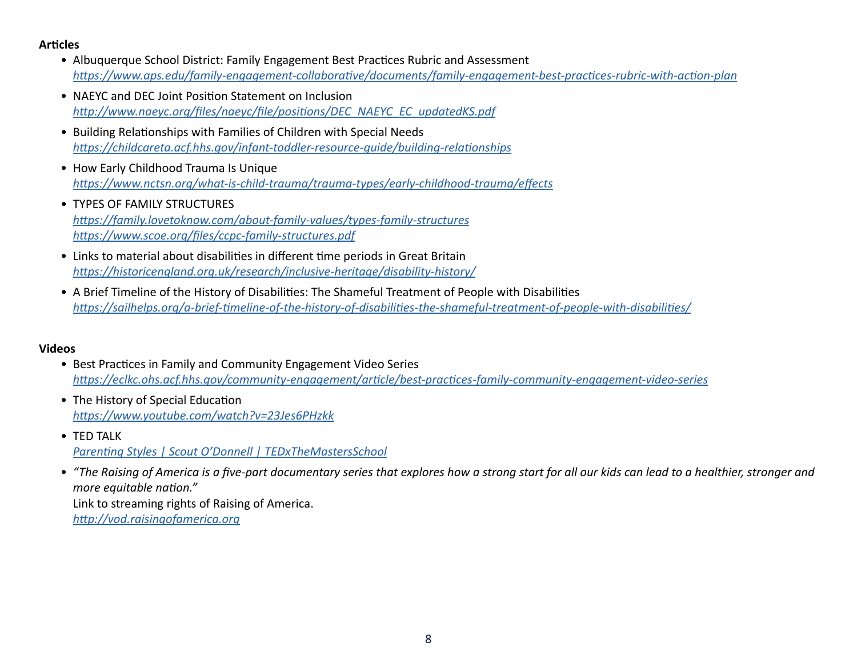#### **Articles**

- Albuquerque School District: Family Engagement Best Practices Rubric and Assessment *<https://www.aps.edu/family-engagement-collaborative/documents/family-engagement-best-practices-rubric-with-action-plan>*
- NAEYC and DEC Joint Position Statement on Inclusion *[http://www.naeyc.org/files/naeyc/file/positions/DEC\\_NAEYC\\_EC\\_updatedKS.pdf](http://www.naeyc.org/files/naeyc/file/positions/DEC_NAEYC_EC_updatedKS.pdf)*
- Building Relationships with Families of Children with Special Needs *<https://childcareta.acf.hhs.gov/infant-toddler-resource-guide/building-relationships>*
- How Early Childhood Trauma Is Unique *<https://www.nctsn.org/what-is-child-trauma/trauma-types/early-childhood-trauma/effects>*
- TYPES OF FAMILY STRUCTURES *<https://family.lovetoknow.com/about-family-values/types-family-structures> <https://www.scoe.org/files/ccpc-family-structures.pdf>*
- Links to material about disabilities in different time periods in Great Britain *<https://historicengland.org.uk/research/inclusive-heritage/disability-history/>*
- A Brief Timeline of the History of Disabilities: The Shameful Treatment of People with Disabilities *<https://sailhelps.org/a-brief-timeline-of-the-history-of-disabilities-the-shameful-treatment-of-people-with-disabilities/>*

#### **Videos**

- Best Practices in Family and Community Engagement Video Series *<https://eclkc.ohs.acf.hhs.gov/community-engagement/article/best-practices-family-community-engagement-video-series>*
- The History of Special Education *<https://www.youtube.com/watch?v=23Jes6PHzkk>*
- TFD TAIK *[Parenting Styles | Scout O'Donnell | TEDxTheMastersSchool](https://www.youtube.com/watch?v=RMxqTXgRO9E)*
- *"The Raising of America is a five-part documentary series that explores how a strong start for all our kids can lead to a healthier, stronger and more equitable nation."* Link to streaming rights of Raising of America. *<http://vod.raisingofamerica.org>*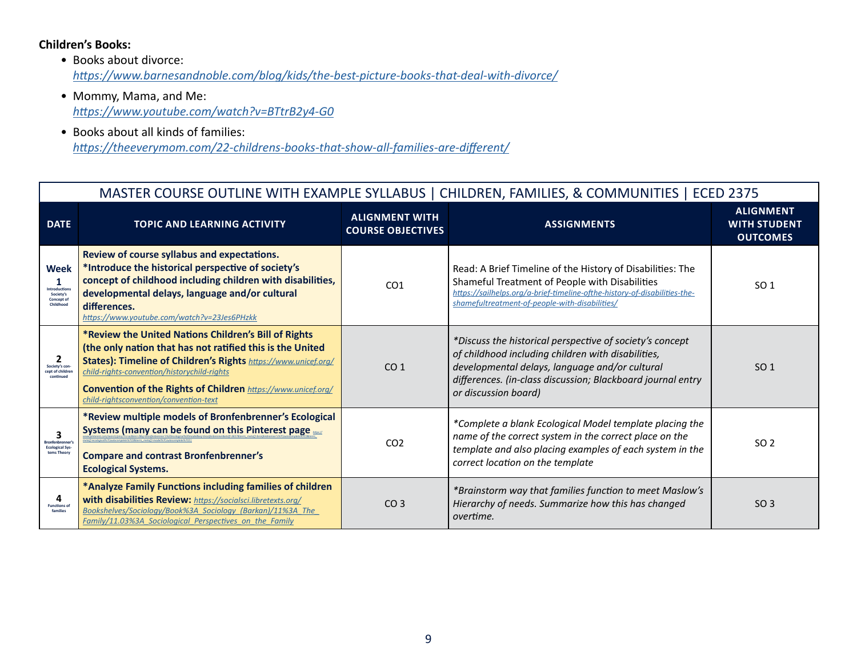#### **Children's Books:**

- Books about divorce: *<https://www.barnesandnoble.com/blog/kids/the-best-picture-books-that-deal-with-divorce/>*
- Mommy, Mama, and Me: *<https://www.youtube.com/watch?v=BTtrB2y4-G0>*
- Books about all kinds of families: *<https://theeverymom.com/22-childrens-books-that-show-all-families-are-different/>*

#### MASTER COURSE OUTLINE WITH EXAMPLE SYLLABUS | CHILDREN, FAMILIES, & COMMUNITIES | ECED 2375 **DATE TOPIC AND LEARNING ACTIVITY ALIGNMENT WITH COURSE OBJECTIVES ASSIGNMENTS ALIGNMENT WITH STUDENT OUTCOMES Week 1 Introductions Society's Concept of Childhood Review of course syllabus and expectations. \*Introduce the historical perspective of society's concept of childhood including children with disabilities, developmental delays, language and/or cultural differences.** *<https://www.youtube.com/watch?v=23Jes6PHzkk>* CO1 Read: A Brief Timeline of the History of Disabilities: The Shameful Treatment of People with Disabilities *[https://sailhelps.org/a-brief-timeline-ofthe-history-of-disabilities-the](https://sailhelps.org/a-brief-timeline-of-the-history-of-disabilities-the-shameful-treatment-of-people-with-disabilities/)[shamefultreatment-of-people-with-disabilities/](https://sailhelps.org/a-brief-timeline-of-the-history-of-disabilities-the-shameful-treatment-of-people-with-disabilities/)*  $SO<sub>1</sub>$ **2 Society's concept of children continued \*Review the United Nations Children's Bill of Rights (the only nation that has not ratified this is the United States): Timeline of Children's Rights** *[https://www.unicef.org/](https://www.unicef.org/child-rights-convention/history-child-rights) [child-rights-convention/historychild-rights](https://www.unicef.org/child-rights-convention/history-child-rights)* **Convention of the Rights of Children** *[https://www.unicef.org/](https://www.unicef.org/child-rights-convention/convention-text) [child-rightsconvention/convention-text](https://www.unicef.org/child-rights-convention/convention-text)*  $CO<sub>1</sub>$ *\*Discuss the historical perspective of society's concept of childhood including children with disabilities, developmental delays, language and/or cultural differences. (in-class discussion; Blackboard journal entry or discussion board)*  $SO<sub>1</sub>$ **3 Bronfenbrenner's Ecological Sys-tems Theory \*Review multiple models of Bronfenbrenner's Ecological Systems (many can be found on this Pinterest page**  $h$ *[www.pinterest.com/search/pins/?rs=ac&len=2&q=bronfenbrenner's%20ecological%20model&eq=bronfenbrenner&etslf=3657&term\\_meta\[\]=bronfenbrenner's%7Cautocomplete%7C0&term\\_](https://www.pinterest.com/search/pins/?rs=ac&len=2&q=bronfenbrenner%25E2%2580%2599s%2520ecological%2520model&eq=bronfenbrenner&etslf=3657&term_meta%255B%255D=bronfenbrenner%25E2%2580%2599s%257Cautocomplete%257C0&term_meta%255B%255D=ecological%257Cautocomplete%257C0&term_meta%255B%255D=model%257Cautocomplete%257C0) [meta\[\]=ecological%7Cautocomplete%7C0&term\\_meta\[\]=model%7Cautocomplete%7C0 \)](https://www.pinterest.com/search/pins/?rs=ac&len=2&q=bronfenbrenner%25E2%2580%2599s%2520ecological%2520model&eq=bronfenbrenner&etslf=3657&term_meta%255B%255D=bronfenbrenner%25E2%2580%2599s%257Cautocomplete%257C0&term_meta%255B%255D=ecological%257Cautocomplete%257C0&term_meta%255B%255D=model%257Cautocomplete%257C0)* **Compare and contrast Bronfenbrenner's Ecological Systems.** CO2 *\*Complete a blank Ecological Model template placing the name of the correct system in the correct place on the template and also placing examples of each system in the correct location on the template* SO 2 **4 Functions of families \*Analyze Family Functions including families of children with disabilities Review:** *[https://socialsci.libretexts.org/](https://socialsci.libretexts.org/Bookshelves/Sociology/Introduction_to_Sociology/Book%3A_Sociology_(Barkan)/11%3A_The_Family/11.03%3A_Sociological_Perspectives_on_the_Family) [Bookshelves/Sociology/Book%3A\\_Sociology\\_\(Barkan\)/11%3A\\_The\\_](https://socialsci.libretexts.org/Bookshelves/Sociology/Introduction_to_Sociology/Book%3A_Sociology_(Barkan)/11%3A_The_Family/11.03%3A_Sociological_Perspectives_on_the_Family) [Family/11.03%3A\\_Sociological\\_Perspectives\\_on\\_the\\_Family](https://socialsci.libretexts.org/Bookshelves/Sociology/Introduction_to_Sociology/Book%3A_Sociology_(Barkan)/11%3A_The_Family/11.03%3A_Sociological_Perspectives_on_the_Family)* CO 3 *\*Brainstorm way that families function to meet Maslow's Hierarchy of needs. Summarize how this has changed overtime.* SO 3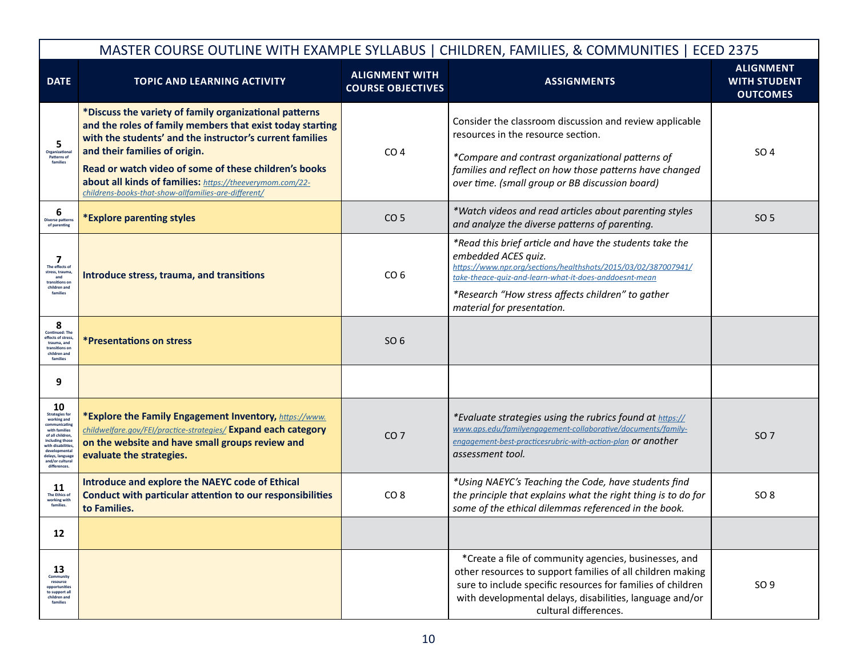|                                                                                                                                                                                                                | MASTER COURSE OUTLINE WITH EXAMPLE SYLLABUS   CHILDREN, FAMILIES, & COMMUNITIES   ECED 2375                                                                                                                                                                                                                                                                                                   |                                                   |                                                                                                                                                                                                                                                                                               |                                                            |  |
|----------------------------------------------------------------------------------------------------------------------------------------------------------------------------------------------------------------|-----------------------------------------------------------------------------------------------------------------------------------------------------------------------------------------------------------------------------------------------------------------------------------------------------------------------------------------------------------------------------------------------|---------------------------------------------------|-----------------------------------------------------------------------------------------------------------------------------------------------------------------------------------------------------------------------------------------------------------------------------------------------|------------------------------------------------------------|--|
| <b>DATE</b>                                                                                                                                                                                                    | <b>TOPIC AND LEARNING ACTIVITY</b>                                                                                                                                                                                                                                                                                                                                                            | <b>ALIGNMENT WITH</b><br><b>COURSE OBJECTIVES</b> | <b>ASSIGNMENTS</b>                                                                                                                                                                                                                                                                            | <b>ALIGNMENT</b><br><b>WITH STUDENT</b><br><b>OUTCOMES</b> |  |
| 5<br>Organizationa<br>Patterns of<br>families                                                                                                                                                                  | *Discuss the variety of family organizational patterns<br>and the roles of family members that exist today starting<br>with the students' and the instructor's current families<br>and their families of origin.<br>Read or watch video of some of these children's books<br>about all kinds of families: https://theeverymom.com/22-<br>childrens-books-that-show-allfamilies-are-different/ | CO <sub>4</sub>                                   | Consider the classroom discussion and review applicable<br>resources in the resource section.<br>*Compare and contrast organizational patterns of<br>families and reflect on how those patterns have changed<br>over time. (small group or BB discussion board)                               | SO 4                                                       |  |
| 6<br><b>Diverse patterns</b><br>of parenting                                                                                                                                                                   | *Explore parenting styles                                                                                                                                                                                                                                                                                                                                                                     | CO <sub>5</sub>                                   | *Watch videos and read articles about parenting styles<br>and analyze the diverse patterns of parenting.                                                                                                                                                                                      | SO 5                                                       |  |
| 7<br>The effects of<br>stress, trauma<br>and<br>transitions or<br>children and<br>families                                                                                                                     | Introduce stress, trauma, and transitions                                                                                                                                                                                                                                                                                                                                                     | CO <sub>6</sub>                                   | *Read this brief article and have the students take the<br>embedded ACES quiz.<br>https://www.npr.org/sections/healthshots/2015/03/02/387007941/<br>take-theace-auiz-and-learn-what-it-does-anddoesnt-mean<br>*Research "How stress affects children" to gather<br>material for presentation. |                                                            |  |
| 8<br>Continued: The<br>effects of stress,<br>trauma, and<br>transitions on<br>children and<br>families                                                                                                         | <i><b>*Presentations on stress</b></i>                                                                                                                                                                                                                                                                                                                                                        | SO 6                                              |                                                                                                                                                                                                                                                                                               |                                                            |  |
| 9                                                                                                                                                                                                              |                                                                                                                                                                                                                                                                                                                                                                                               |                                                   |                                                                                                                                                                                                                                                                                               |                                                            |  |
| 10<br><b>Strategies for</b><br>working and<br>communicating<br>with families<br>of all children<br>including those<br>with disabilities,<br>developmenta<br>lelays, language<br>and/or cultural<br>differences | *Explore the Family Engagement Inventory, https://www.<br>childwelfare.gov/FEI/practice-strategies/ Expand each category<br>on the website and have small groups review and<br>evaluate the strategies.                                                                                                                                                                                       | CO <sub>7</sub>                                   | *Evaluate strategies using the rubrics found at https://<br>www.aps.edu/familyengagement-collaborative/documents/family-<br>engagement-best-practicesrubric-with-action-plan <b>Or another</b><br>assessment tool.                                                                            | SO <sub>7</sub>                                            |  |
| 11<br>The Ethics of<br>working with<br>families.                                                                                                                                                               | Introduce and explore the NAEYC code of Ethical<br>Conduct with particular attention to our responsibilities<br>to Families.                                                                                                                                                                                                                                                                  | CO <sub>8</sub>                                   | *Using NAEYC's Teaching the Code, have students find<br>the principle that explains what the right thing is to do for<br>some of the ethical dilemmas referenced in the book.                                                                                                                 | SO <sub>8</sub>                                            |  |
| 12                                                                                                                                                                                                             |                                                                                                                                                                                                                                                                                                                                                                                               |                                                   |                                                                                                                                                                                                                                                                                               |                                                            |  |
| 13<br>Community<br>resource<br>opportunities<br>to support all<br>children and<br>families                                                                                                                     |                                                                                                                                                                                                                                                                                                                                                                                               |                                                   | *Create a file of community agencies, businesses, and<br>other resources to support families of all children making<br>sure to include specific resources for families of children<br>with developmental delays, disabilities, language and/or<br>cultural differences.                       | SO <sub>9</sub>                                            |  |